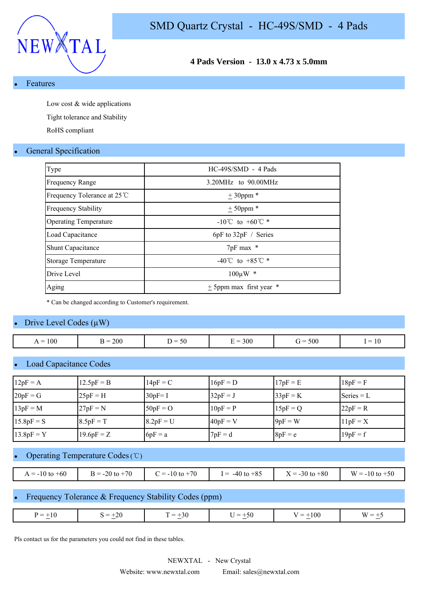



## **4 Pads Version - 13.0 x 4.73 x 5.0mm**

**Features** 

Low cost & wide applications

Tight tolerance and Stability

RoHS compliant

#### **General Specification**

| Type                         | $HC-49S/SMD - 4 Pads$                |
|------------------------------|--------------------------------------|
| <b>Frequency Range</b>       | $3.20MHz$ to $90.00MHz$              |
| Frequency Tolerance at 25 °C | $\pm$ 30ppm $*$                      |
| <b>Frequency Stability</b>   | $+50$ ppm $*$                        |
| <b>Operating Temperature</b> | $-10^{\circ}$ C to $+60^{\circ}$ C * |
| Load Capacitance             | $6pF$ to $32pF /$ Series             |
| <b>Shunt Capacitance</b>     | 7pF max *                            |
| Storage Temperature          | -40°C to +85°C $*$                   |
| Drive Level                  | $100 \mu W$ *                        |
| Aging                        | $\pm$ 5ppm max first year $*$        |

\* Can be changed according to Customer's requirement.

#### Drive Level Codes  $(\mu W)$

| 100<br>$\overline{\phantom{0}}$<br>$\equiv$<br>. x<br>. . | 200 | . –<br>.JU<br>$\cdot$ $-$<br>- - | 300 | 500<br>$\overline{\phantom{a}}$ | $\mathbf{1} \mathbf{0}$<br>$\overline{\phantom{0}}$ |
|-----------------------------------------------------------|-----|----------------------------------|-----|---------------------------------|-----------------------------------------------------|
|                                                           |     |                                  |     |                                 |                                                     |

#### Load Capacitance Codes

| $12pF = A$   | $12.5pF = B$ | $14pF = C$  | $16pF = D$ | $17pF = E$ | $18pF = F$   |
|--------------|--------------|-------------|------------|------------|--------------|
| $20pF = G$   | $25pF = H$   | $30pF = I$  | $32pF = J$ | $33pF = K$ | Series $= L$ |
| $13pF = M$   | $27pF = N$   | $50pF = O$  | $10pF = P$ | $15pF = Q$ | $22pF = R$   |
| $15.8pF = S$ | $8.5pF = T$  | $8.2pF = U$ | $40pF = V$ | $9pF = W$  | $11pF = X$   |
| $13.8pF = Y$ | $19.6pF = Z$ | $6pF = a$   | $7pF = d$  | $8pF = e$  | $19pF = f$   |

## Operating Temperature Codes (℃)

| $= -10$ to $+60$ | $= -20$ to $+70$ | $= -10$ to $+70$ | $-40$ to $+85$ | $\zeta = -30$ to $+80$ | W.<br>$= -10$ to $+50$ |
|------------------|------------------|------------------|----------------|------------------------|------------------------|

#### Frequency Tolerance & Frequency Stability Codes (ppm)

| $+20$<br>$+30$<br>±10<br>$=$<br>$+50$<br>$=$<br>$\overline{\phantom{0}}$<br>$\mathbf{M}$<br>.<br>$\overline{ }$<br>__<br>$\sim$ $\sim$ $\sim$<br>$\overline{\phantom{a}}$<br>$\sim$<br>$\sim$ |
|-----------------------------------------------------------------------------------------------------------------------------------------------------------------------------------------------|
|-----------------------------------------------------------------------------------------------------------------------------------------------------------------------------------------------|

Pls contact us for the parameters you could not find in these tables.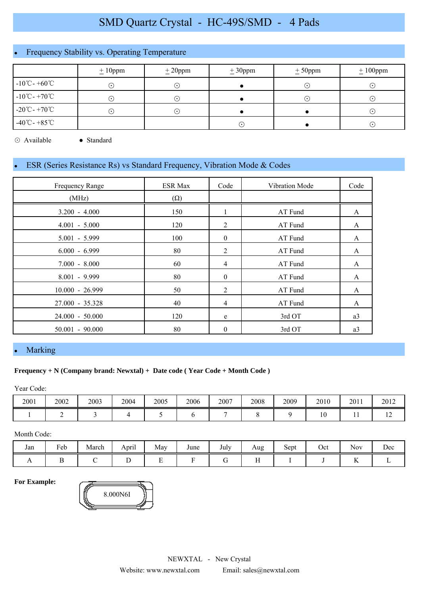# SMD Quartz Crystal - HC-49S/SMD - 4 Pads

## Frequency Stability vs. Operating Temperature

|                                   | $\pm 10$ ppm           | $\pm 20$ ppm               | $\pm 30$ ppm | $\pm$ 50ppm | $\pm 100$ ppm |  |
|-----------------------------------|------------------------|----------------------------|--------------|-------------|---------------|--|
| $-10^{\circ}$ C - $+60^{\circ}$ C | $\odot$                | ∩                          |              | $\cdot$ )   | $(\cdot)$     |  |
| $-10^{\circ}$ C - $+70^{\circ}$ C | $(\boldsymbol{\cdot})$ | $(\bullet)$                |              | $\cdot$ 1   | $(\cdot)$     |  |
| -20 $\degree$ C - +70 $\degree$ C | ∩                      | $(\,\boldsymbol{\cdot}\,)$ |              |             | $(\cdot)$     |  |
| $-40^{\circ}$ C - $+85^{\circ}$ C |                        |                            | $(\bullet)$  |             | $(\cdot)$     |  |

⊙ Available ● Standard

## ESR (Series Resistance Rs) vs Standard Frequency, Vibration Mode & Codes

| <b>Frequency Range</b> | <b>ESR Max</b> | Code           | Vibration Mode | Code           |
|------------------------|----------------|----------------|----------------|----------------|
| (MHz)                  | $(\Omega)$     |                |                |                |
| $3.200 - 4.000$        | 150            | 1              | AT Fund        | A              |
| $4.001 - 5.000$        | 120            | 2              | AT Fund        | A              |
| $5.001 - 5.999$        | 100            | $\bf{0}$       | AT Fund        | A              |
| $6.000 - 6.999$        | 80             | 2              | AT Fund        | A              |
| $7.000 - 8.000$        | 60             | $\overline{4}$ | AT Fund        | A              |
| $8.001 - 9.999$        | 80             | $\mathbf{0}$   | AT Fund        | A              |
| $10.000 - 26.999$      | 50             | 2              | AT Fund        | A              |
| $27.000 - 35.328$      | 40             | $\overline{4}$ | AT Fund        | A              |
| $24.000 - 50.000$      | 120            | e              | 3rd OT         | a3             |
| $50.001 - 90.000$      | 80             | $\theta$       | 3rd OT         | a <sub>3</sub> |

#### **Marking**

#### **Frequency + N (Company brand: Newxtal) + Date code ( Year Code + Month Code )**

Year Code:

| 2001 | 2002 | 2003 | 2004 | 2005 | 2006 | 2007 | 2008 | 2009 | 2010 | 2011 | 2012 |
|------|------|------|------|------|------|------|------|------|------|------|------|
|      |      |      |      |      |      |      |      |      |      | . .  | . .  |

Month Code:

| Jan | $\mathbf{r}$<br>Feb | March | $\cdot$ .<br>April | May | June | July | Aug | $\sim$<br>Sept | Oct | $\sim$ $\sim$<br>Nov | Dec |
|-----|---------------------|-------|--------------------|-----|------|------|-----|----------------|-----|----------------------|-----|
| . . |                     |       | -                  | -   |      |      | . . |                |     |                      |     |

**For Example:**

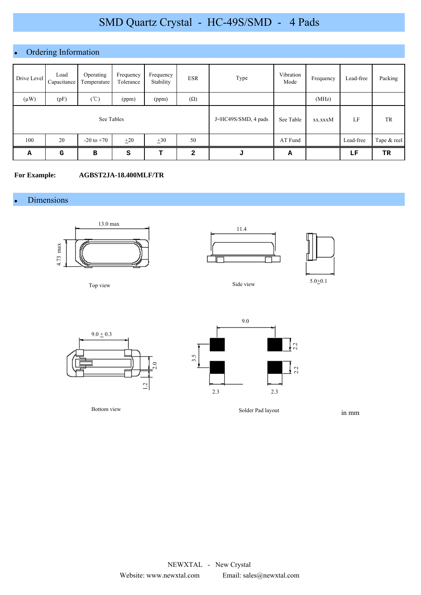# SMD Quartz Crystal - HC-49S/SMD - 4 Pads

## Ordering Information

| Drive Level | Load<br>Capacitance | Operating<br>Temperature | Frequency<br>Tolerance | Frequency<br>Stability | <b>ESR</b>     | Type                | Vibration<br>Mode | Frequency | Lead-free | Packing     |
|-------------|---------------------|--------------------------|------------------------|------------------------|----------------|---------------------|-------------------|-----------|-----------|-------------|
| $(\mu W)$   | (pF)                | $(\degree C)$            | (ppm)                  | (ppm)                  | $(\Omega)$     |                     |                   | (MHz)     |           |             |
| See Tables  |                     |                          |                        |                        |                | J=HC49S/SMD, 4 pads | See Table         | xx.xxxM   | LF        | TR          |
| 100         | 20                  | $-20$ to $+70$           | $+20$                  | $+30$                  | 50             |                     | AT Fund           |           | Lead-free | Tape & reel |
| A           | G                   | в                        | s                      | т                      | $\overline{a}$ | J                   | А                 |           | LF        | TR.         |

**For Example: AGBST2JA-18.400MLF/TR**

Dimensions



Top view











in mm